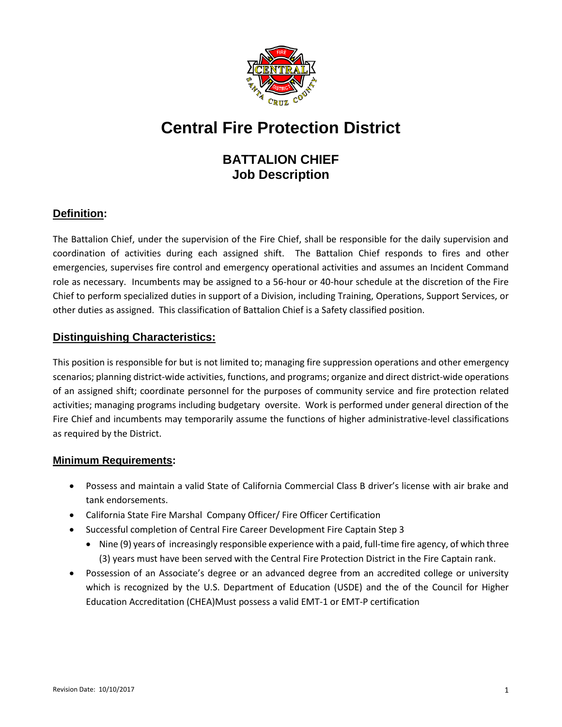

# **Central Fire Protection District**

# **BATTALION CHIEF Job Description**

## **Definition:**

The Battalion Chief, under the supervision of the Fire Chief, shall be responsible for the daily supervision and coordination of activities during each assigned shift. The Battalion Chief responds to fires and other emergencies, supervises fire control and emergency operational activities and assumes an Incident Command role as necessary. Incumbents may be assigned to a 56-hour or 40-hour schedule at the discretion of the Fire Chief to perform specialized duties in support of a Division, including Training, Operations, Support Services, or other duties as assigned. This classification of Battalion Chief is a Safety classified position.

#### **Distinguishing Characteristics:**

This position is responsible for but is not limited to; managing fire suppression operations and other emergency scenarios; planning district-wide activities, functions, and programs; organize and direct district-wide operations of an assigned shift; coordinate personnel for the purposes of community service and fire protection related activities; managing programs including budgetary oversite. Work is performed under general direction of the Fire Chief and incumbents may temporarily assume the functions of higher administrative-level classifications as required by the District.

#### **Minimum Requirements:**

- Possess and maintain a valid State of California Commercial Class B driver's license with air brake and tank endorsements.
- California State Fire Marshal Company Officer/ Fire Officer Certification
- Successful completion of Central Fire Career Development Fire Captain Step 3
	- Nine (9) years of increasingly responsible experience with a paid, full-time fire agency, of which three (3) years must have been served with the Central Fire Protection District in the Fire Captain rank.
- Possession of an Associate's degree or an advanced degree from an accredited college or university which is recognized by the U.S. Department of Education (USDE) and the of the Council for Higher Education Accreditation (CHEA)Must possess a valid EMT-1 or EMT-P certification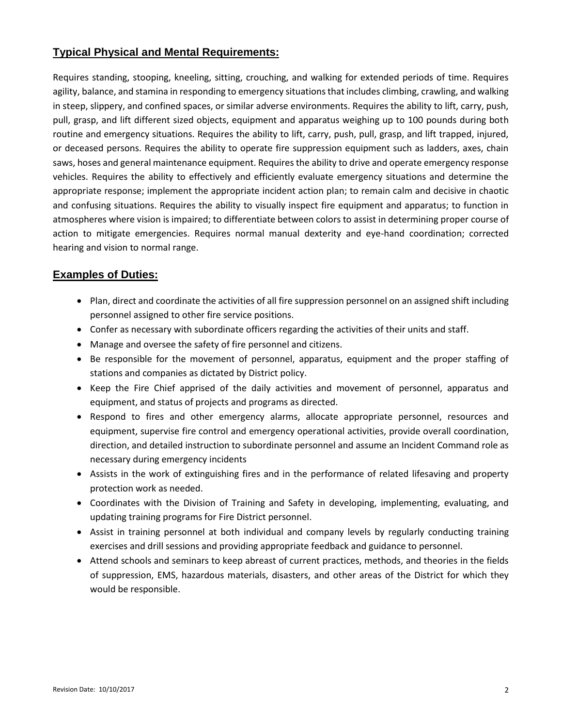## **Typical Physical and Mental Requirements:**

Requires standing, stooping, kneeling, sitting, crouching, and walking for extended periods of time. Requires agility, balance, and stamina in responding to emergency situations that includes climbing, crawling, and walking in steep, slippery, and confined spaces, or similar adverse environments. Requires the ability to lift, carry, push, pull, grasp, and lift different sized objects, equipment and apparatus weighing up to 100 pounds during both routine and emergency situations. Requires the ability to lift, carry, push, pull, grasp, and lift trapped, injured, or deceased persons. Requires the ability to operate fire suppression equipment such as ladders, axes, chain saws, hoses and general maintenance equipment. Requires the ability to drive and operate emergency response vehicles. Requires the ability to effectively and efficiently evaluate emergency situations and determine the appropriate response; implement the appropriate incident action plan; to remain calm and decisive in chaotic and confusing situations. Requires the ability to visually inspect fire equipment and apparatus; to function in atmospheres where vision is impaired; to differentiate between colors to assist in determining proper course of action to mitigate emergencies. Requires normal manual dexterity and eye-hand coordination; corrected hearing and vision to normal range.

#### **Examples of Duties:**

- Plan, direct and coordinate the activities of all fire suppression personnel on an assigned shift including personnel assigned to other fire service positions.
- Confer as necessary with subordinate officers regarding the activities of their units and staff.
- Manage and oversee the safety of fire personnel and citizens.
- Be responsible for the movement of personnel, apparatus, equipment and the proper staffing of stations and companies as dictated by District policy.
- Keep the Fire Chief apprised of the daily activities and movement of personnel, apparatus and equipment, and status of projects and programs as directed.
- Respond to fires and other emergency alarms, allocate appropriate personnel, resources and equipment, supervise fire control and emergency operational activities, provide overall coordination, direction, and detailed instruction to subordinate personnel and assume an Incident Command role as necessary during emergency incidents
- Assists in the work of extinguishing fires and in the performance of related lifesaving and property protection work as needed.
- Coordinates with the Division of Training and Safety in developing, implementing, evaluating, and updating training programs for Fire District personnel.
- Assist in training personnel at both individual and company levels by regularly conducting training exercises and drill sessions and providing appropriate feedback and guidance to personnel.
- Attend schools and seminars to keep abreast of current practices, methods, and theories in the fields of suppression, EMS, hazardous materials, disasters, and other areas of the District for which they would be responsible.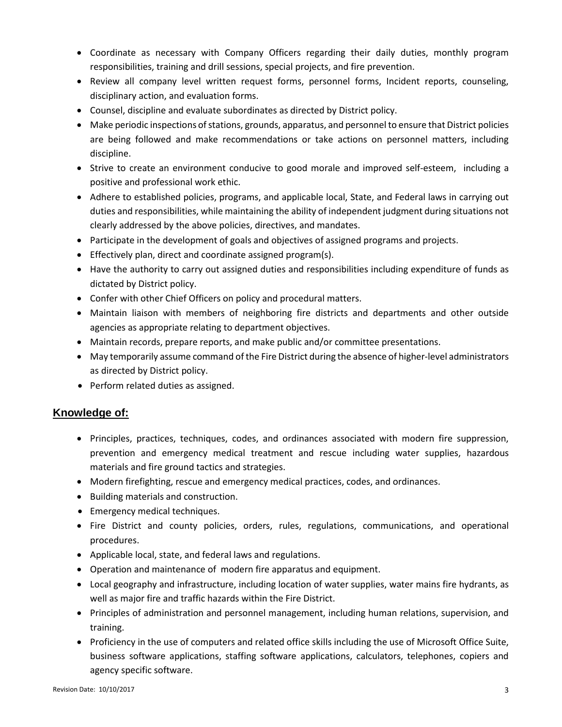- Coordinate as necessary with Company Officers regarding their daily duties, monthly program responsibilities, training and drill sessions, special projects, and fire prevention.
- Review all company level written request forms, personnel forms, Incident reports, counseling, disciplinary action, and evaluation forms.
- Counsel, discipline and evaluate subordinates as directed by District policy.
- Make periodic inspections of stations, grounds, apparatus, and personnel to ensure that District policies are being followed and make recommendations or take actions on personnel matters, including discipline.
- Strive to create an environment conducive to good morale and improved self-esteem, including a positive and professional work ethic.
- Adhere to established policies, programs, and applicable local, State, and Federal laws in carrying out duties and responsibilities, while maintaining the ability of independent judgment during situations not clearly addressed by the above policies, directives, and mandates.
- Participate in the development of goals and objectives of assigned programs and projects.
- Effectively plan, direct and coordinate assigned program(s).
- Have the authority to carry out assigned duties and responsibilities including expenditure of funds as dictated by District policy.
- Confer with other Chief Officers on policy and procedural matters.
- Maintain liaison with members of neighboring fire districts and departments and other outside agencies as appropriate relating to department objectives.
- Maintain records, prepare reports, and make public and/or committee presentations.
- May temporarily assume command of the Fire District during the absence of higher-level administrators as directed by District policy.
- Perform related duties as assigned.

#### **Knowledge of:**

- Principles, practices, techniques, codes, and ordinances associated with modern fire suppression, prevention and emergency medical treatment and rescue including water supplies, hazardous materials and fire ground tactics and strategies.
- Modern firefighting, rescue and emergency medical practices, codes, and ordinances.
- Building materials and construction.
- Emergency medical techniques.
- Fire District and county policies, orders, rules, regulations, communications, and operational procedures.
- Applicable local, state, and federal laws and regulations.
- Operation and maintenance of modern fire apparatus and equipment.
- Local geography and infrastructure, including location of water supplies, water mains fire hydrants, as well as major fire and traffic hazards within the Fire District.
- Principles of administration and personnel management, including human relations, supervision, and training.
- Proficiency in the use of computers and related office skills including the use of Microsoft Office Suite, business software applications, staffing software applications, calculators, telephones, copiers and agency specific software.